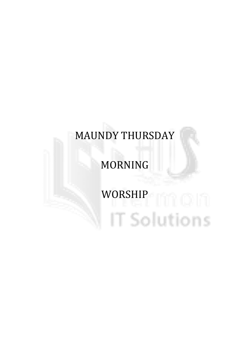## MAUNDY THURSDAY

### MORNING

# WORSHIP NEWSFILM IT Solutions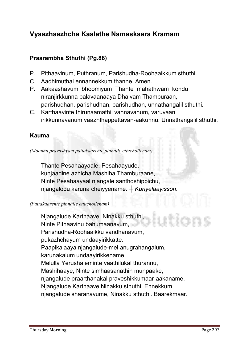#### Vyaazhaazhcha Kaalathe Namaskaara Kramam

#### Praarambha Sthuthi (Pg.88)

- **P. Pithaavinum, Puthranum, Parishudha-Roohaaikkum sthuthi.**
- **C. Aadhimuthal ennannekkum thanne. Amen.**
- **P. Aakaashavum bhoomiyum Thante mahathwam kondu niranjirkkunna balavaanaaya Dhaivam Thamburaan, parishudhan, parishudhan, parishudhan, unnathangalil sthuthi.**
- **C. Karthaavinte thirunaamathil vannavanum, varuvaan irikkunnavanum vaazhthappettavan-aakunnu. Unnathangalil sthuthi.**

#### Kauma

*(Moonnu pravashyam pattakaarente pinnalle ettuchollenam)*

**Thante Pesahaayaale, Pesahaayude, kunjaadine azhicha Mashiha Thamburaane, Ninte Pesahaayaal njangale santhoshippichu, njangalodu karuna cheiyyename.** *┼ Kuriyelaayisson.*

#### *(Pattakaarente pinnalle ettuchollenam)*

**Njangalude Karthaave, Ninakku sthuthi, Ninte Pithaavinu bahumaanavum, Parishudha-Roohaaikku vandhanavum, pukazhchayum undaayirikkatte. Paapikalaaya njangalude-mel anugrahangalum, karunakalum undaayirikkename. Melulla Yerushaleminte vaathilukal thurannu, Mashihaaye, Ninte simhaasanathin munpaake, njangalude praarthanakal praveshikkumaar-aakaname. Njangalude Karthaave Ninakku sthuthi. Ennekkum njangalude sharanavume, Ninakku sthuthi. Baarekmaar.**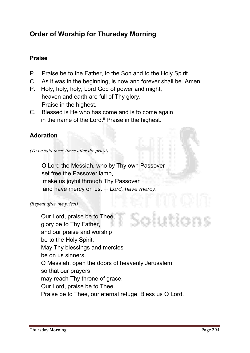#### Order of Worship for Thursday Morning

#### Praise

- **P. Praise be to the Father, to the Son and to the Holy Spirit.**
- **C. As it was in the beginning, is now and forever shall be. Amen.**
- **P. Holy, holy, holy, Lord God of power and might, heaven and earth are full of Thy glory.i Praise in the highest.**
- **C. Blessed is He who has come and is to come again**  in the name of the Lord.<sup>ii</sup> Praise in the highest.

#### Adoration

*(To be said three times after the priest)*

 **O Lord the Messiah, who by Thy own Passover set free the Passover lamb, make us joyful through Thy Passover** and have mercy on us.  $+$  *Lord, have mercy*.

#### *(Repeat after the priest)*

**Our Lord, praise be to Thee, glory be to Thy Father, and our praise and worship be to the Holy Spirit. May Thy blessings and mercies be on us sinners. O Messiah, open the doors of heavenly Jerusalem so that our prayers may reach Thy throne of grace. Our Lord, praise be to Thee. Praise be to Thee, our eternal refuge. Bless us O Lord.**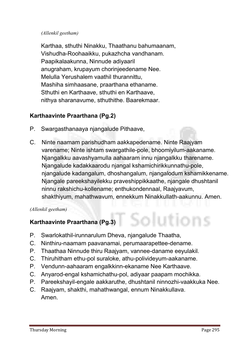#### *(Allenkil geetham)*

**Karthaa, sthuthi Ninakku, Thaathanu bahumaanam, Vishudha-Roohaaikku, pukazhcha vandhanam. Paapikalaakunna, Ninnude adiyaaril anugraham, krupayum chorinjeedename Nee. Melulla Yerushalem vaathil thurannittu, Mashiha simhaasane, praarthana ethaname. Sthuthi en Karthaave, sthuthi en Karthaave, nithya sharanavume, sthuthithe. Baarekmaar.**

#### Karthaavinte Praarthana (Pg.2)

- **P. Swargasthanaaya njangalude Pithaave,**
- **C. Ninte naamam parishudham aakkapedename. Ninte Raajyam varename; Ninte ishtam swargathile-pole, bhoomiyilum-aakaname. Njangalkku aavashyamulla aahaaram innu njangalkku tharename. Njangalude kadakkaarodu njangal kshamichirikkunnathu-pole, njangalude kadangalum, dhoshangalum, njangalodum kshamikkename. Njangale pareekshayilekku praveshippikkaathe, njangale dhushtanil ninnu rakshichu-kollename; enthukondennaal, Raajyavum, shakthiyum, mahathwavum, ennekkum Ninakkullath-aakunnu. Amen.**

#### *(Allenkil geetham)*

#### Karthaavinte Praarthana (Pg.3)

- **P. Swarlokathil-irunnarulum Dheva, njangalude Thaatha,**
- **C. Ninthiru-naamam paavanamai, perumaarapettee-dename.**
- **P. Thaathaa Ninnude thiru Raajyam, vannee-daname eeyulakil.**
- **C. Thiruhitham ethu-pol suraloke, athu-polivideyum-aakaname.**
- **P. Vendunn-aahaaram engalkkinn-ekaname Nee Karthaave.**
- **C. Anyarod-engal kshamichathu-pol, adiyaar paapam mochikka.**
- **P. Pareekshayil-engale aakkaruthe, dhushtanil ninnozhi-vaakkuka Nee.**
- **C. Raajyam, shakthi, mahathwangal, ennum Ninakkullava. Amen.**

**Mions**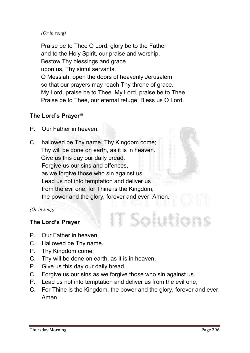#### *(Or in song)*

**Praise be to Thee O Lord, glory be to the Father and to the Holy Spirit, our praise and worship. Bestow Thy blessings and grace upon us, Thy sinful servants. O Messiah, open the doors of heavenly Jerusalem so that our prayers may reach Thy throne of grace. My Lord, praise be to Thee. My Lord, praise be to Thee. Praise be to Thee, our eternal refuge. Bless us O Lord.**

#### The Lord's Prayeriii

- **P. Our Father in heaven,**
- **C. hallowed be Thy name. Thy Kingdom come; Thy will be done on earth, as it is in heaven. Give us this day our daily bread. Forgive us our sins and offences, as we forgive those who sin against us. Lead us not into temptation and deliver us from the evil one; for Thine is the Kingdom, the power and the glory, forever and ever. Amen.**

*(Or in song)*

#### The Lord's Prayer

- **P. Our Father in heaven,**
- **C. Hallowed be Thy name.**
- **P. Thy Kingdom come;**
- **C. Thy will be done on earth, as it is in heaven.**
- **P. Give us this day our daily bread.**
- **C. Forgive us our sins as we forgive those who sin against us.**
- **P. Lead us not into temptation and deliver us from the evil one,**
- **C. For Thine is the Kingdom, the power and the glory, forever and ever. Amen.**

T Solutions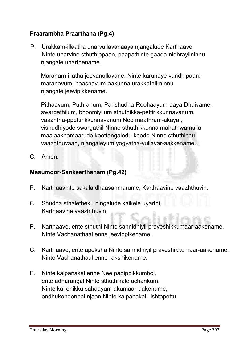#### Praarambha Praarthana (Pg.4)

**P. Urakkam-illaatha unarvullavanaaya njangalude Karthaave, Ninte unarvine sthuthippaan, paapathinte gaada-nidhrayilninnu njangale unarthename.** 

**Maranam-illatha jeevanullavane, Ninte karunaye vandhipaan, maranavum, naashavum-aakunna urakkathil-ninnu njangale jeevipikkename.** 

**Pithaavum, Puthranum, Parishudha-Roohaayum-aaya Dhaivame, swargathilum, bhoomiyilum sthuthikka-pettirikkunnavanum, vaazhtha-ppettirikkunnavanum Nee maathram-akayal, vishudhiyode swargathil Ninne sthuthikkunna mahathwamulla maalaakhamaarude koottangalodu-koode Ninne sthuthichu vaazhthuvaan, njangaleyum yogyatha-yullavar-aakkename.**

**C. Amen.** 

#### Masumoor-Sankeerthanam (Pg.42)

- **P. Karthaavinte sakala dhaasanmarume, Karthaavine vaazhthuvin.**
- **C. Shudha sthaletheku ningalude kaikele uyarthi, Karthaavine vaazhthuvin.**
- **P. Karthaave, ente sthuthi Ninte sannidhiyil praveshikkumaar-aakename. Ninte Vachanathaal enne jeevippikename.**
- **C. Karthaave, ente apeksha Ninte sannidhiyil praveshikkumaar-aakename. Ninte Vachanathaal enne rakshikename.**
- **P. Ninte kalpanakal enne Nee padippikkumbol, ente adharangal Ninte sthuthikale ucharikum. Ninte kai enikku sahaayam akumaar-aakename, endhukondennal njaan Ninte kalpanakalil ishtapettu.**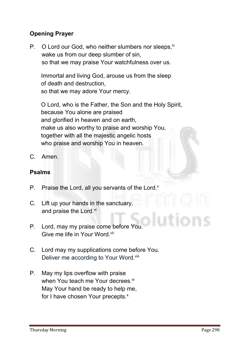#### Opening Prayer

P. O Lord our God, who neither slumbers nor sleeps, iv **wake us from our deep slumber of sin, so that we may praise Your watchfulness over us.** 

**Immortal and living God, arouse us from the sleep of death and destruction, so that we may adore Your mercy.** 

**O Lord, who is the Father, the Son and the Holy Spirit, because You alone are praised and glorified in heaven and on earth, make us also worthy to praise and worship You, together with all the majestic angelic hosts who praise and worship You in heaven.**

**C. Amen.**

#### Psalms

- **P. Praise the Lord, all you servants of the Lord.v**
- **C. Lift up your hands in the sanctuary, and praise the Lord.vi**
- **P. Lord, may my praise come before You. Give me life in Your Word.vii**
- **C. Lord may my supplications come before You. Deliver me according to Your Word.viii**
- **P. May my lips overflow with praise when You teach me Your decrees.ix May Your hand be ready to help me,**  for I have chosen Your precepts.<sup>x</sup>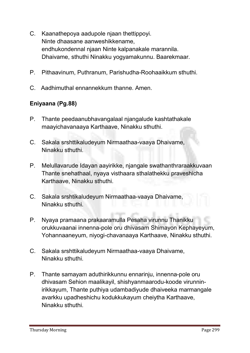- **C. Kaanathepoya aadupole njaan thettippoyi. Ninte dhaasane aanweshikkename, endhukondennal njaan Ninte kalpanakale marannila. Dhaivame, sthuthi Ninakku yogyamakunnu. Baarekmaar.**
- **P. Pithaavinum, Puthranum, Parishudha-Roohaaikkum sthuthi.**
- **C. Aadhimuthal ennannekkum thanne. Amen.**

#### Eniyaana (Pg.88)

- **P. Thante peedaanubhavangalaal njangalude kashtathakale maayichavanaaya Karthaave, Ninakku sthuthi.**
- **C. Sakala srshttikaludeyum Nirmaathaa-vaaya Dhaivame, Ninakku sthuthi.**
- **P. Melullavarude Idayan aayirikke, njangale swathanthraraakkuvaan Thante snehathaal, nyaya visthaara sthalathekku praveshicha Karthaave, Ninakku sthuthi.**
- **C. Sakala srshtikaludeyum Nirmaathaa-vaaya Dhaivame, Ninakku sthuthi.**
- **P. Nyaya pramaana prakaaramulla Pesaha virunnu Thanikku orukkuvaanai innenna-pole oru dhivasam Shimayon Kephayeyum, Yohannaaneyum, niyogi-chavanaaya Karthaave, Ninakku sthuthi.**
- **C. Sakala srshttikaludeyum Nirmaathaa-vaaya Dhaivame, Ninakku sthuthi.**
- **P. Thante samayam aduthirikkunnu ennarinju, innenna-pole oru dhivasam Sehion maalikayil, shishyanmaarodu-koode virunninirikkayum, Thante puthiya udambadiyude dhaiveeka marmangale avarkku upadheshichu kodukkukayum cheiytha Karthaave, Ninakku sthuthi.**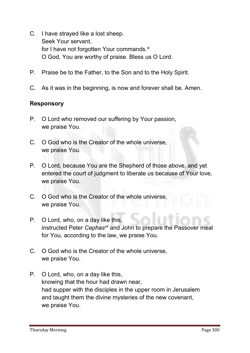- **C. I have strayed like a lost sheep. Seek Your servant,** for I have not forgotten Your commands.<sup>xi</sup> **O God, You are worthy of praise. Bless us O Lord.**
- **P. Praise be to the Father, to the Son and to the Holy Spirit.**
- **C. As it was in the beginning, is now and forever shall be. Amen.**

#### Responsory

- **P. O Lord who removed our suffering by Your passion, we praise You.**
- **C. O God who is the Creator of the whole universe, we praise You.**
- **P. O Lord, because You are the Shepherd of those above, and yet entered the court of judgment to liberate us because of Your love, we praise You.**
- **C. O God who is the Creator of the whole universe, we praise You.**
- **P. O Lord, who, on a day like this, instructed Peter** *Cephasxii* **and John to prepare the Passover meal for You, according to the law, we praise You.**
- **C. O God who is the Creator of the whole universe, we praise You.**
- **P. O Lord, who, on a day like this, knowing that the hour had drawn near, had supper with the disciples in the upper room in Jerusalem and taught them the divine mysteries of the new covenant, we praise You.**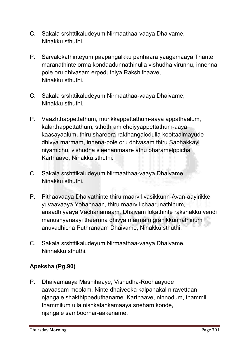- **C. Sakala srshttikaludeyum Nirmaathaa-vaaya Dhaivame, Ninakku sthuthi.**
- **P. Sarvalokathinteyum paapangalkku parihaara yaagamaaya Thante maranathinte orma kondaadunnathinulla vishudha virunnu, innenna pole oru dhivasam erpeduthiya Rakshithaave, Ninakku sthuthi.**
- **C. Sakala srshttikaludeyum Nirmaathaa-vaaya Dhaivame, Ninakku sthuthi.**
- **P. Vaazhthappettathum, murikkappettathum-aaya appathaalum, kalarthappettathum, sthothram cheiyyappettathum-aaya kaasayaalum, thiru shareera rakthangalodulla koottaaimayude dhivya marmam, innena-pole oru dhivasam thiru Sabhakkayi niyamichu, vishudha sleehanmaare athu bharamelppicha Karthaave, Ninakku sthuthi.**
- **C. Sakala srshttikaludeyum Nirmaathaa-vaaya Dhaivame, Ninakku sthuthi.**
- **P. Pithaavaaya Dhaivathinte thiru maarvil vasikkunn-Avan-aayirikke, yuvaavaaya Yohannaan, thiru maarvil chaarunathinum, anaadhiyaaya Vachanamaam, Dhaivam lokathinte rakshakku vendi manushyanaayi theernna dhivya marmam grahikkunnathinum anuvadhicha Puthranaam Dhaivame, Ninakku sthuthi.**
- **C. Sakala srshttikaludeyum Nirmaathaa-vaaya Dhaivame, Ninnakku sthuthi.**

#### Apeksha (Pg.90)

**P. Dhaivamaaya Mashihaaye, Vishudha-Roohaayude aavaasam moolam, Ninte dhaiveeka kalpanakal niravettaan njangale shakthippeduthaname. Karthaave, ninnodum, thammil thammilum ulla nishkalankamaaya sneham konde, njangale samboornar-aakename.**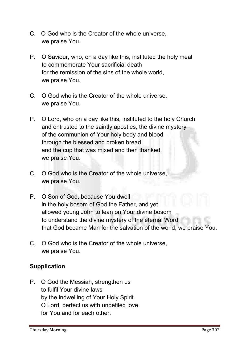- **C. O God who is the Creator of the whole universe, we praise You.**
- **P. O Saviour, who, on a day like this, instituted the holy meal to commemorate Your sacrificial death for the remission of the sins of the whole world, we praise You.**
- **C. O God who is the Creator of the whole universe, we praise You.**
- **P. O Lord, who on a day like this, instituted to the holy Church and entrusted to the saintly apostles, the divine mystery of the communion of Your holy body and blood through the blessed and broken bread and the cup that was mixed and then thanked, we praise You.**
- **C. O God who is the Creator of the whole universe, we praise You.**
- **P. O Son of God, because You dwell in the holy bosom of God the Father, and yet allowed young John to lean on Your divine bosom to understand the divine mystery of the eternal Word, that God became Man for the salvation of the world, we praise You.**
- **C. O God who is the Creator of the whole universe, we praise You.**

#### Supplication

**P. O God the Messiah, strengthen us to fulfil Your divine laws by the indwelling of Your Holy Spirit. O Lord, perfect us with undefiled love for You and for each other.**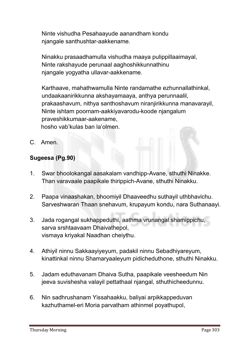**Ninte vishudha Pesahaayude aanandham kondu njangale santhushtar-aakkename.** 

**Ninakku prasaadhamulla vishudha maaya pulippillaaimayal, Ninte rakshayude perunaal aaghoshikkunnathinu njangale yogyatha ullavar-aakkename.**

**Karthaave, mahathwamulla Ninte randamathe ezhunnallathinkal, undaakaanirikkunna akshayamaaya, anthya perunnaalil, prakaashavum, nithya santhoshavum niranjirikkunna manavarayil, Ninte ishtam poornam-aakkiyavarodu-koode njangalum praveshikkumaar-aakename, hosho vab'kulas ban la'olmen.**

**C. Amen.** 

#### Sugeesa (Pg.90)

- **1. Swar bhoolokangal aasakalam vandhipp-Avane, sthuthi Ninakke. Than varavaale paapikale thirippich-Avane, sthuthi Ninakku.**
- **2. Paapa vinaashakan, bhoomiyil Dhaaveedhu suthayil uthbhavichu. Sarveshwaran Thaan snehavum, krupayum kondu, nara Suthanaayi.**
- **3. Jada rogangal sukhappeduthi, aathma vrunangal shamippichu, sarva srshtaavaam Dhaivathepol, vismaya kriyakal Naadhan cheiythu.**
- **4. Athiyil ninnu Sakkaayiyeyum, padakil ninnu Sebadhiyareyum, kinattinkal ninnu Shamaryaaleyum pidicheduthone, sthuthi Ninakku.**
- **5. Jadam eduthavanam Dhaiva Sutha, paapikale veesheedum Nin jeeva suvishesha valayil pettathaal njangal, sthuthicheedunnu.**
- **6. Nin sadhrushanam Yissahaakku, baliyai arpikkappeduvan kazhuthamel-eri Moria parvatham athinmel poyathupol,**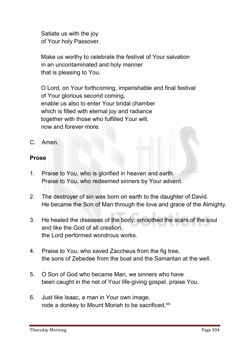**Satiate us with the joy of Your holy Passover.**

**Make us worthy to celebrate the festival of Your salvation in an uncontaminated and holy manner that is pleasing to You.**

**O Lord, on Your forthcoming, imperishable and final festival of Your glorious second coming, enable us also to enter Your bridal chamber which is filled with eternal joy and radiance together with those who fulfilled Your will, now and forever more.**

**C. Amen.**

#### Prose

- **1. Praise to You, who is glorified in heaven and earth. Praise to You, who redeemed sinners by Your advent.**
- **2. The destroyer of sin was born on earth to the daughter of David. He became the Son of Man through the love and grace of the Almighty.**
- **3. He healed the diseases of the body, smoothed the scars of the soul and like the God of all creation, the Lord performed wondrous works.**
- **4. Praise to You, who saved Zaccheus from the fig tree, the sons of Zebedee from the boat and the Samaritan at the well.**
- **5. O Son of God who became Man, we sinners who have been caught in the net of Your life-giving gospel, praise You.**
- **6. Just like Isaac, a man in Your own image,**  rode a donkey to Mount Moriah to be sacrificed, xiii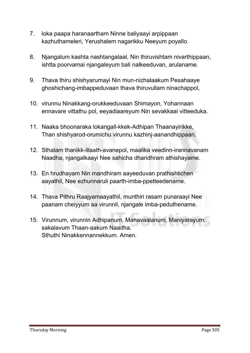- **7. loka paapa haranaartham Ninne baliyaayi arpippaan kazhuthameleri, Yerushalem nagarikku Neeyum poyallo.**
- **8. Njangalum kashta nashtangalaal, Nin thiruvishtam nivarthippaan, ishtta poorvamai njangaleyum bali nalkeeduvan, arulaname.**
- **9. Thava thiru shishyarumayi Nin mun-nizhalaakum Pesahaaye ghoshichang-imbappeduvaan thava thiruvullam ninachappol,**
- **10. virunnu Ninakkang-orukkeeduvaan Shimayon, Yohannaan ennavare vittathu pol, eeyadiaareyum Nin sevakkaai vitteeduka.**
- **11. Naaka bhoonaraka lokangall-kkek-Adhipan Thaanayirikke, Than shishyarod-orumichu virunnu kazhinj-aanandhippaan,**
- **12. Sthalam thanikk-illaath-avanepol, maalika veedinn-irannavanam Naadha, njangalkaayi Nee sahicha dharidhram athishayame.**
- **13. En hrudhayam Nin mandhiram aayeeduvan prathishtichen aayathil, Nee ezhunnaruli paarth-imba-ppetteedename.**
- **14. Thava Pithru Raajyamaayathil, munthiri rasam punaraayi Nee paanam cheiyyum aa virunnil, njangale imba-peduthename.**
- **15. Virunnum, virunnin Adhipanum, Manavaalanum, Maniyarayum, sakalavum Thaan-aakum Naadha. Sthuthi Ninakkennannekkum. Amen.**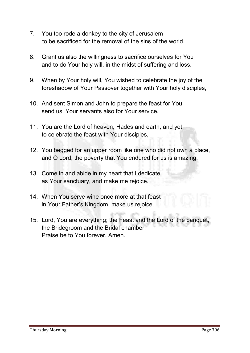- **7. You too rode a donkey to the city of Jerusalem to be sacrificed for the removal of the sins of the world.**
- **8. Grant us also the willingness to sacrifice ourselves for You and to do Your holy will, in the midst of suffering and loss.**
- **9. When by Your holy will, You wished to celebrate the joy of the foreshadow of Your Passover together with Your holy disciples,**
- **10. And sent Simon and John to prepare the feast for You, send us, Your servants also for Your service.**
- **11. You are the Lord of heaven, Hades and earth, and yet, to celebrate the feast with Your disciples,**
- **12. You begged for an upper room like one who did not own a place, and O Lord, the poverty that You endured for us is amazing.**
- **13. Come in and abide in my heart that I dedicate as Your sanctuary, and make me rejoice.**
- **14. When You serve wine once more at that feast in Your Father's Kingdom, make us rejoice.**
- **15. Lord, You are everything; the Feast and the Lord of the banquet, the Bridegroom and the Bridal chamber. Praise be to You forever. Amen.**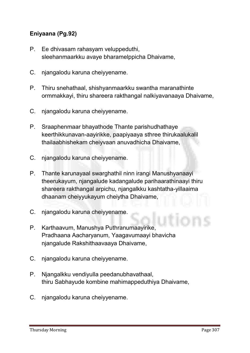#### Eniyaana (Pg.92)

- **P. Ee dhivasam rahasyam veluppeduthi, sleehanmaarkku avaye bharamelppicha Dhaivame,**
- **C. njangalodu karuna cheiyyename.**
- **P. Thiru snehathaal, shishyanmaarkku swantha maranathinte ormmakkayi, thiru shareera rakthangal nalkiyavanaaya Dhaivame,**
- **C. njangalodu karuna cheiyyename.**
- **P. Sraaphenmaar bhayathode Thante parishudhathaye keerthikkunavan-aayirikke, paapiyaaya sthree thirukaalukalil thailaabhishekam cheiyvaan anuvadhicha Dhaivame,**
- **C. njangalodu karuna cheiyyename.**
- **P. Thante karunayaal swarghathil ninn irangi Manushyanaayi theerukayum, njangalude kadangalude parihaarathinaayi thiru shareera rakthangal arpichu, njangalkku kashtatha-yillaaima dhaanam cheiyyukayum cheiytha Dhaivame,**
- **C. njangalodu karuna cheiyyename.**
- **P. Karthaavum, Manushya Puthranumaayirike, Pradhaana Aacharyanum, Yaagavumaayi bhavicha njangalude Rakshithaavaaya Dhaivame,**
- **C. njangalodu karuna cheiyyename.**
- **P. Njangalkku vendiyulla peedanubhavathaal, thiru Sabhayude kombine mahimappeduthiya Dhaivame,**
- **C. njangalodu karuna cheiyyename.**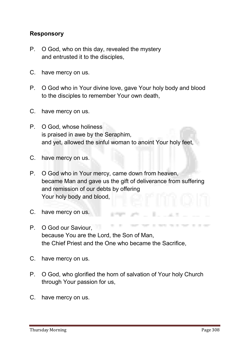#### Responsory

- **P. O God, who on this day, revealed the mystery and entrusted it to the disciples,**
- **C. have mercy on us.**
- **P. O God who in Your divine love, gave Your holy body and blood to the disciples to remember Your own death,**
- **C. have mercy on us.**
- **P. O God, whose holiness is praised in awe by the Seraphim, and yet, allowed the sinful woman to anoint Your holy feet,**
- **C. have mercy on us.**
- **P. O God who in Your mercy, came down from heaven, became Man and gave us the gift of deliverance from suffering and remission of our debts by offering Your holy body and blood,**
- **C. have mercy on us.**
- THE CONTRACT OF A SECOND **P. O God our Saviour, because You are the Lord, the Son of Man, the Chief Priest and the One who became the Sacrifice,**
- **C. have mercy on us.**
- **P. O God, who glorified the horn of salvation of Your holy Church through Your passion for us,**
- **C. have mercy on us.**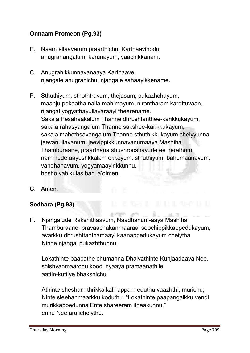#### Onnaam Promeon (Pg.93)

- **P. Naam ellaavarum praarthichu, Karthaavinodu anugrahangalum, karunayum, yaachikkanam.**
- **C. Anugrahikkunnavanaaya Karthaave, njangale anugrahichu, njangale sahaayikkename.**
- **P. Sthuthiyum, sthothtravum, thejasum, pukazhchayum, maanju pokaatha nalla mahimayum, nirantharam karettuvaan, njangal yogyathayullavaraayi theerename. Sakala Pesahaakalum Thanne dhrushtanthee-karikkukayum, sakala rahasyangalum Thanne sakshee-karikkukayum, sakala mahothsavangalum Thanne sthuthikkukayum cheiyyunna jeevanullavanum, jeevippikkunnavanumaaya Mashiha Thamburaane, praarthana shushrooshayude ee nerathum, nammude aayushkkalam okkeyum, sthuthiyum, bahumaanavum, vandhanavum, yogyamaayirikkunnu, hosho vab'kulas ban la'olmen.**
- **C. Amen.**

#### Sedhara (Pg.93)

**P. Njangalude Rakshithaavum, Naadhanum-aaya Mashiha Thamburaane, pravaachakanmaaraal soochippikkappedukayum, avarkku dhrushttanthamaayi kaanappedukayum cheiytha Ninne njangal pukazhthunnu.** 

**SERVICE STATE** 

**Lokathinte paapathe chumanna Dhaivathinte Kunjaadaaya Nee, shishyanmaarodu koodi nyaaya pramaanathile aattin-kuttiye bhakshichu.** 

**Athinte shesham thrikkaikalil appam eduthu vaazhthi, murichu, Ninte sleehanmaarkku koduthu. "Lokathinte paapangalkku vendi murikkappedunna Ente shareeram ithaakunnu," ennu Nee arulicheiythu.**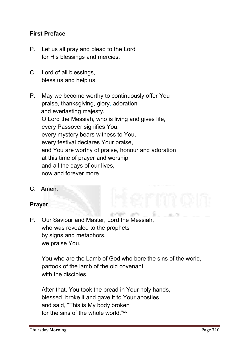#### First Preface

- **P. Let us all pray and plead to the Lord for His blessings and mercies.**
- **C. Lord of all blessings, bless us and help us.**
- **P. May we become worthy to continuously offer You praise, thanksgiving, glory, adoration and everlasting majesty. O Lord the Messiah, who is living and gives life, every Passover signifies You, every mystery bears witness to You, every festival declares Your praise, and You are worthy of praise, honour and adoration at this time of prayer and worship, and all the days of our lives, now and forever more.**
- **C. Amen.**

#### Prayer

**P. Our Saviour and Master, Lord the Messiah, who was revealed to the prophets by signs and metaphors, we praise You.**

**You who are the Lamb of God who bore the sins of the world, partook of the lamb of the old covenant with the disciples.**

**After that, You took the bread in Your holy hands, blessed, broke it and gave it to Your apostles and said, "This is My body broken**  for the sins of the whole world "<sup>xiv</sup>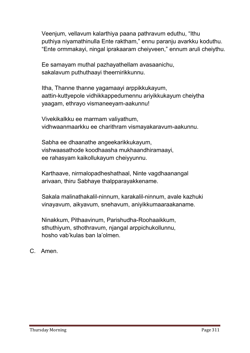**Veenjum, vellavum kalarthiya paana pathravum eduthu, "Ithu puthiya niyamathinulla Ente raktham," ennu paranju avarkku koduthu. "Ente ormmakayi, ningal iprakaaram cheiyveen," ennum aruli cheiythu.** 

**Ee samayam muthal pazhayathellam avasaanichu, sakalavum puthuthaayi theernirikkunnu.** 

**Itha, Thanne thanne yagamaayi arppikkukayum, aattin-kuttyepole vidhikkappedumennu ariyikkukayum cheiytha yaagam, ethrayo vismaneeyam-aakunnu!** 

**Vivekikalkku ee marmam valiyathum, vidhwaanmaarkku ee charithram vismayakaravum-aakunnu.** 

**Sabha ee dhaanathe angeekarikkukayum, vishwaasathode koodhaasha mukhaandhiramaayi, ee rahasyam kaikollukayum cheiyyunnu.** 

**Karthaave, nirmalopadheshathaal, Ninte vagdhaanangal arivaan, thiru Sabhaye thalpparayakkename.**

**Sakala malinathakalil-ninnum, karakalil-ninnum, avale kazhuki vinayavum, aikyavum, snehavum, aniyikkumaaraakaname.** 

**Ninakkum, Pithaavinum, Parishudha-Roohaaikkum, sthuthiyum, sthothravum, njangal arppichukollunnu, hosho vab'kulas ban la'olmen.**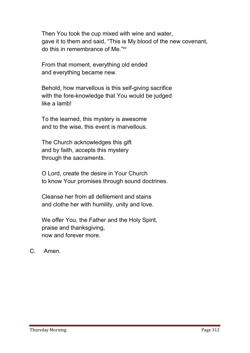**Then You took the cup mixed with wine and water, gave it to them and said, "This is My blood of the new covenant, do this in remembrance of Me."xv**

**From that moment, everything old ended and everything became new.**

**Behold, how marvellous is this self-giving sacrifice with the fore-knowledge that You would be judged like a lamb!**

**To the learned, this mystery is awesome and to the wise, this event is marvellous.**

**The Church acknowledges this gift and by faith, accepts this mystery through the sacraments.** 

**O Lord, create the desire in Your Church to know Your promises through sound doctrines.**

**Cleanse her from all defilement and stains and clothe her with humility, unity and love.**

**We offer You, the Father and the Holy Spirit, praise and thanksgiving, now and forever more.**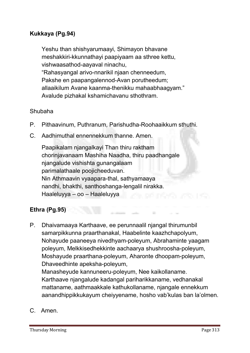#### Kukkaya (Pg.94)

**Yeshu than shishyarumaayi, Shimayon bhavane meshakkiri-kkunnathayi paapiyaam aa sthree kettu, vishwaasathod-aayaval ninachu, "Rahasyangal arivo-nnarikil njaan chenneedum, Pakshe en paapangalennod-Avan porutheedum; allaaikilum Avane kaanma-thenikku mahaabhaagyam." Avalude pizhakal kshamichavanu sthothram.**

#### **Shubaha**

- **P. Pithaavinum, Puthranum, Parishudha-Roohaaikkum sthuthi.**
- **C. Aadhimuthal ennennekkum thanne. Amen.**

**Paapikalam njangalkayi Than thiru raktham chorinjavanaam Mashiha Naadha, thiru paadhangale njangalude vishishta gunangalaam parimalathaale poojicheeduvan. Nin Athmaavin vyaapara-thal, sathyamaaya nandhi, bhakthi, santhoshanga-lengalil nirakka. Haaleluyya – oo – Haaleluyya**

#### Ethra (Pg.95)

**P. Dhaivamaaya Karthaave, ee perunnaalil njangal thirumunbil samarpikkunna praarthanakal, Haabelinte kaazhchapolyum, Nohayude paaneeya nivedhyam-poleyum, Abrahaminte yaagam poleyum, Melkkisedhekkinte aachaarya shushroosha-poleyum, Moshayude praarthana-poleyum, Aharonte dhoopam-poleyum, Dhaveedhinte apeksha-poleyum,** 

**Manasheyude kannuneeru-poleyum, Nee kaikollaname. Karthaave njangalude kadangal pariharikkaname, vedhanakal mattaname, aathmaakkale kathukollaname, njangale ennekkum aanandhippikkukayum cheiyyename, hosho vab'kulas ban la'olmen.**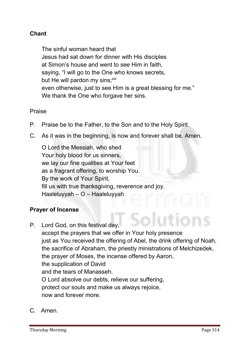#### Chant

**The sinful woman heard that Jesus had sat down for dinner with His disciples at Simon's house and went to see Him in faith, saying, "I will go to the One who knows secrets, but He will pardon my sins; xvi even otherwise, just to see Him is a great blessing for me." We thank the One who forgave her sins.**

**Praise**

- **P. Praise be to the Father, to the Son and to the Holy Spirit.**
- **C. As it was in the beginning, is now and forever shall be. Amen.**

**O Lord the Messiah, who shed Your holy blood for us sinners, we lay our fine qualities at Your feet as a fragrant offering, to worship You. By the work of Your Spirit, fill us with true thanksgiving, reverence and joy. Haaleluyyah – O – Haaleluyyah**

#### Prayer of Incense

- **P. Lord God, on this festival day, accept the prayers that we offer in Your holy presence just as You received the offering of Abel, the drink offering of Noah, the sacrifice of Abraham, the priestly ministrations of Melchizedek, the prayer of Moses, the incense offered by Aaron, the supplication of David and the tears of Manasseh. O Lord absolve our debts, relieve our suffering, protect our souls and make us always rejoice, now and forever more.**
- **C. Amen.**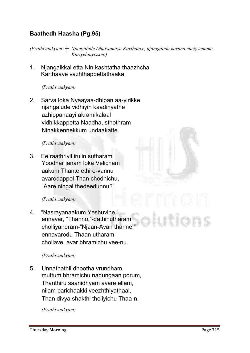#### Baathedh Haasha (Pg.95)

*(Prathivaakyam: ┼ Njangalude Dhaivamaya Karthaave, njangalodu karuna cheiyyename. Kuriyelaayisson.)*

**1. Njangalkkai etta Nin kashtatha thaazhcha Karthaave vazhthappettathaaka.**

#### *(Prathivaakyam)*

**2. Sarva loka Nyaayaa-dhipan aa-yirikke njangalude vidhiyin kaadinyathe azhippanaayi akramikalaal vidhikkappetta Naadha, sthothram Ninakkennekkum undaakatte.**

#### *(Prathivaakyam)*

**3. Ee raathriyil irulin sutharam Yoodhar janam loka Velicham aakum Thante ethire-vannu avarodappol Than chodhichu, "Aare ningal thedeedunnu?"**

#### *(Prathivaakyam)*

**4. "Nasrayanaakum Yeshuvine," ennavar, "Thanno,"-dathinutharam cholliyaneram-"Njaan-Avan thanne," ennavarodu Thaan utharam chollave, avar bhramichu vee-nu.**

#### *(Prathivaakyam)*

**5. Unnathathil dhootha vrundham muttum bhramichu nadungaan porum, Thanthiru saanidhyam avare ellam, nilam parichaakki veezhthiyathaal, Than divya shakthi theliyichu Thaa-n.**

*(Prathivaakyam)*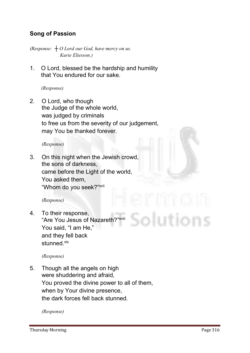#### Song of Passion

*(Response: ┼ O Lord our God, have mercy on us. Kurie Eliesson.)*

**1. O Lord, blessed be the hardship and humility that You endured for our sake.** 

*(Response)*

**2. O Lord, who though the Judge of the whole world, was judged by criminals to free us from the severity of our judgement, may You be thanked forever.**

*(Response)*

**3. On this night when the Jewish crowd, the sons of darkness, came before the Light of the world, You asked them, "Whom do you seek?"xvii**

*(Response)*

**4. To their response, "Are You Jesus of Nazareth?" xviii You said, "I am He," and they fell back stunned. xix**

*(Response)*

**5. Though all the angels on high were shuddering and afraid, You proved the divine power to all of them, when by Your divine presence, the dark forces fell back stunned.** 

*(Response)*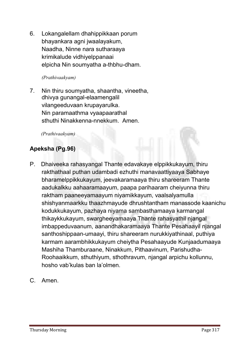**6. Lokangalellam dhahippikkaan porum bhayankara agni jwaalayakum, Naadha, Ninne nara sutharaaya krimikalude vidhiyelppanaai elpicha Nin soumyatha a-thbhu-dham.**

#### *(Prathivaakyam)*

**7. Nin thiru soumyatha, shaantha, vineetha, dhivya gunangal-elaamengalil vilangeeduvaan krupayarulka. Nin paramaathma vyaapaarathal sthuthi Ninakkenna-nnekkum. Amen.**

*(Prathivaakyam)* 

#### Apeksha (Pg.96)

- **P. Dhaiveeka rahasyangal Thante edavakaye elppikkukayum, thiru rakthathaal puthan udambadi ezhuthi manavaattiyaaya Sabhaye bharamelppikkukayum, jeevakaramaaya thiru shareeram Thante aadukalkku aahaaramaayum, paapa parihaaram cheiyunna thiru raktham paaneeyamaayum niyamikkayum, vaalsalyamulla shishyanmaarkku thaazhmayude dhrushtantham manassode kaanichu kodukkukayum, pazhaya niyama sambasthamaaya karmangal thikaykkukayum, swargheeyamaaya Thante rahasyathil njangal imbappeduvaanum, aanandhakaramaaya Thante Pesahaayil njangal santhoshippaan-umaayi, thiru shareeram nurukkiyathinaal, puthiya karmam aarambhikkukayum cheiytha Pesahaayude Kunjaadumaaya Mashiha Thamburaane, Ninakkum, Pithaavinum, Parishudha-Roohaaikkum, sthuthiyum, sthothravum, njangal arpichu kollunnu, hosho vab'kulas ban la'olmen.**
- **C. Amen.**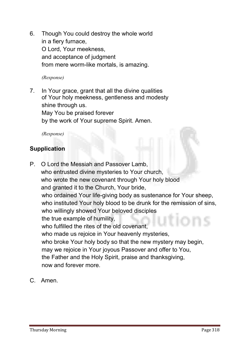**6. Though You could destroy the whole world in a fiery furnace, O Lord, Your meekness, and acceptance of judgment from mere worm-like mortals, is amazing.**

*(Response)*

**7. In Your grace, grant that all the divine qualities of Your holy meekness, gentleness and modesty shine through us. May You be praised forever by the work of Your supreme Spirit. Amen.**

*(Response)*

#### **Supplication**

- **P. O Lord the Messiah and Passover Lamb, who entrusted divine mysteries to Your church, who wrote the new covenant through Your holy blood and granted it to the Church, Your bride, who ordained Your life-giving body as sustenance for Your sheep, who instituted Your holy blood to be drunk for the remission of sins, who willingly showed Your beloved disciples the true example of humility, who fulfilled the rites of the old covenant, who made us rejoice in Your heavenly mysteries, who broke Your holy body so that the new mystery may begin, may we rejoice in Your joyous Passover and offer to You, the Father and the Holy Spirit, praise and thanksgiving, now and forever more.**
- **C. Amen.**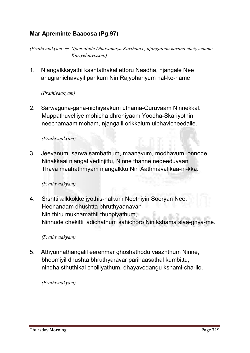#### Mar Apreminte Baaoosa (Pg.97)

*(Prathivaakyam: ┼ Njangalude Dhaivamaya Karthaave, njangalodu karuna cheiyyename. Kuriyelaayisson.)*

**1. Njangalkkayathi kashtathakal ettoru Naadha, njangale Nee anugrahichavayil pankum Nin Rajyohariyum nal-ke-name.**

#### *(Prathivaakyam)*

**2. Sarwaguna-gana-nidhiyaakum uthama-Guruvaam Ninnekkal. Muppathuvelliye mohicha dhrohiyaam Yoodha-Skariyothin neechamaam moham, njangalil orikkalum ulbhavicheedalle.**

#### *(Prathivaakyam)*

**3. Jeevanum, sarwa sambathum, maanavum, modhavum, onnode Ninakkaai njangal vedinjittu, Ninne thanne nedeeduvaan Thava maahathmyam njangalkku Nin Aathmaval kaa-ni-kka.**

#### *(Prathivaakyam)*

**4. Srshttikalkkokke jyothis-nalkum Neethiyin Sooryan Nee. Heenanaam dhushtta bhruthyaanavan Nin thiru mukhamathil thuppiyathum, Ninnude chekittil adichathum sahichoro Nin kshama slaa-ghya-me.**

#### *(Prathivaakyam)*

**5. Athyunnathangalil eerenmar ghoshathodu vaazhthum Ninne, bhoomiyil dhushta bhruthyaravar parihaasathal kumbittu, nindha sthuthikal cholliyathum, dhayavodangu kshami-cha-llo.**

*(Prathivaakyam)*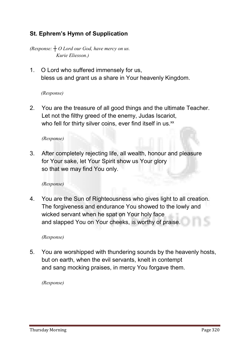#### St. Ephrem's Hymn of Supplication

*(Response: ┼ O Lord our God, have mercy on us. Kurie Eliesson.)*

**1. O Lord who suffered immensely for us, bless us and grant us a share in Your heavenly Kingdom.**

#### *(Response)*

**2. You are the treasure of all good things and the ultimate Teacher. Let not the filthy greed of the enemy, Judas Iscariot, who fell for thirty silver coins, ever find itself in us.xx**

*(Response)*

**3. After completely rejecting life, all wealth, honour and pleasure for Your sake, let Your Spirit show us Your glory so that we may find You only.**

*(Response)*

**4. You are the Sun of Righteousness who gives light to all creation. The forgiveness and endurance You showed to the lowly and wicked servant when he spat on Your holy face and slapped You on Your cheeks, is worthy of praise.**

*(Response)*

**5. You are worshipped with thundering sounds by the heavenly hosts, but on earth, when the evil servants, knelt in contempt and sang mocking praises, in mercy You forgave them.**

*(Response)*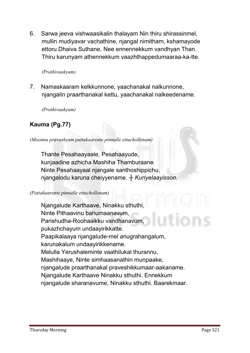**6. Sarwa jeeva vishwaasikalin thalayam Nin thiru shirassinmel, mullin mudiyavar vachathine, njangal nimitham, kshamayode ettoru Dhaiva Suthane, Nee ennennekkum vandhyan Than. Thiru karunyam athennekkum vaazhthappedumaaraa-ka-tte.**

#### *(Prathivaakyam)*

**7. Namaskaaram kelkkunnone, yaachanakal nalkunnone, njangalin praarthanakal kettu, yaachanakal nalkeedename.**

*(Prathivaakyam)* 

#### Kauma (Pg.77)

*(Moonnu pravashyam pattakaarente pinnalle ettuchollenam)*

**Thante Pesahaayaale, Pesahaayude, kunjaadine azhicha Mashiha Thamburaane Ninte Pesahaayaal njangale santhoshippichu, njangalodu karuna cheiyyename.** *┼ Kuriyelaayisson.*

#### *(Pattakaarente pinnalle ettuchollenam)*

**Njangalude Karthaave, Ninakku sthuthi, Ninte Pithaavinu bahumaanavum, Parishudha-Roohaaikku vandhanavum, pukazhchayum undaayirikkatte. Paapikalaaya njangalude-mel anugrahangalum, karunakalum undaayirikkename. Melulla Yerushaleminte vaathilukal thurannu, Mashihaaye, Ninte simhaasanathin munpaake, njangalude praarthanakal praveshikkumaar-aakaname. Njangalude Karthaave Ninakku sthuthi. Ennekkum njangalude sharanavume, Ninakku sthuthi. Baarekmaar.**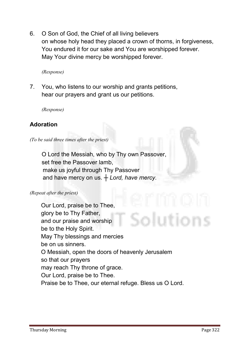**6. O Son of God, the Chief of all living believers on whose holy head they placed a crown of thorns, in forgiveness, You endured it for our sake and You are worshipped forever. May Your divine mercy be worshipped forever.**

*(Response)*

**7. You, who listens to our worship and grants petitions, hear our prayers and grant us our petitions.** 

*(Response)*

#### Adoration

*(To be said three times after the priest)*

 **O Lord the Messiah, who by Thy own Passover, set free the Passover lamb, make us joyful through Thy Passover and have mercy on us.** *┼ Lord, have mercy.*

*(Repeat after the priest)*

**Our Lord, praise be to Thee, glory be to Thy Father,**  utions **and our praise and worship be to the Holy Spirit. May Thy blessings and mercies be on us sinners. O Messiah, open the doors of heavenly Jerusalem so that our prayers may reach Thy throne of grace. Our Lord, praise be to Thee. Praise be to Thee, our eternal refuge. Bless us O Lord.**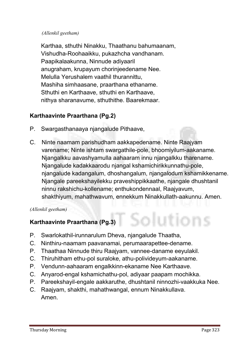#### *(Allenkil geetham)*

**Karthaa, sthuthi Ninakku, Thaathanu bahumaanam, Vishudha-Roohaaikku, pukazhcha vandhanam. Paapikalaakunna, Ninnude adiyaaril anugraham, krupayum chorinjeedename Nee. Melulla Yerushalem vaathil thurannittu, Mashiha simhaasane, praarthana ethaname. Sthuthi en Karthaave, sthuthi en Karthaave, nithya sharanavume, sthuthithe. Baarekmaar.**

#### Karthaavinte Praarthana (Pg.2)

- **P. Swargasthanaaya njangalude Pithaave,**
- **C. Ninte naamam parishudham aakkapedename. Ninte Raajyam varename; Ninte ishtam swargathile-pole, bhoomiyilum-aakaname. Njangalkku aavashyamulla aahaaram innu njangalkku tharename. Njangalude kadakkaarodu njangal kshamichirikkunnathu-pole, njangalude kadangalum, dhoshangalum, njangalodum kshamikkename. Njangale pareekshayilekku praveshippikkaathe, njangale dhushtanil ninnu rakshichu-kollename; enthukondennaal, Raajyavum, shakthiyum, mahathwavum, ennekkum Ninakkullath-aakunnu. Amen.**

#### *(Allenkil geetham)*

#### Karthaavinte Praarthana (Pg.3)

- **P. Swarlokathil-irunnarulum Dheva, njangalude Thaatha,**
- **C. Ninthiru-naamam paavanamai, perumaarapettee-dename.**
- **P. Thaathaa Ninnude thiru Raajyam, vannee-daname eeyulakil.**
- **C. Thiruhitham ethu-pol suraloke, athu-polivideyum-aakaname.**
- **P. Vendunn-aahaaram engalkkinn-ekaname Nee Karthaave.**
- **C. Anyarod-engal kshamichathu-pol, adiyaar paapam mochikka.**
- **P. Pareekshayil-engale aakkaruthe, dhushtanil ninnozhi-vaakkuka Nee.**
- **C. Raajyam, shakthi, mahathwangal, ennum Ninakkullava. Amen.**

**Mions**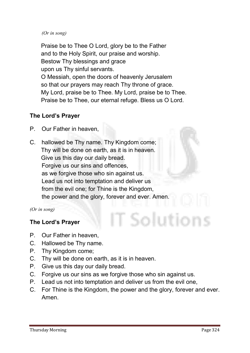#### *(Or in song)*

**Praise be to Thee O Lord, glory be to the Father and to the Holy Spirit, our praise and worship. Bestow Thy blessings and grace upon us Thy sinful servants. O Messiah, open the doors of heavenly Jerusalem so that our prayers may reach Thy throne of grace. My Lord, praise be to Thee. My Lord, praise be to Thee. Praise be to Thee, our eternal refuge. Bless us O Lord.**

#### The Lord's Prayer

- **P. Our Father in heaven,**
- **C. hallowed be Thy name. Thy Kingdom come; Thy will be done on earth, as it is in heaven. Give us this day our daily bread. Forgive us our sins and offences, as we forgive those who sin against us. Lead us not into temptation and deliver us from the evil one; for Thine is the Kingdom, the power and the glory, forever and ever. Amen.**

*(Or in song)*

#### The Lord's Prayer

- **P. Our Father in heaven,**
- **C. Hallowed be Thy name.**
- **P. Thy Kingdom come;**
- **C. Thy will be done on earth, as it is in heaven.**
- **P. Give us this day our daily bread.**
- **C. Forgive us our sins as we forgive those who sin against us.**
- **P. Lead us not into temptation and deliver us from the evil one,**
- **C. For Thine is the Kingdom, the power and the glory, forever and ever. Amen.**

ī Solutions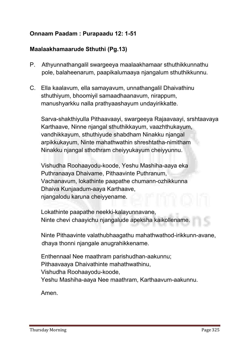#### Onnaam Paadam : Purapaadu 12: 1-51

#### Maalaakhamaarude Sthuthi (Pg.13)

- **P. Athyunnathangalil swargeeya maalaakhamaar sthuthikkunnathu pole, balaheenarum, paapikalumaaya njangalum sthuthikkunnu.**
- **C. Ella kaalavum, ella samayavum, unnathangalil Dhaivathinu sthuthiyum, bhoomiyil samaadhaanavum, nirappum, manushyarkku nalla prathyaashayum undayirikkatte.**

**Sarva-shakthiyulla Pithaavaayi, swargeeya Rajaavaayi, srshtaavaya Karthaave, Ninne njangal sthuthikkayum, vaazhthukayum, vandhikkayum, sthuthiyude shabdham Ninakku njangal arpikkukayum, Ninte mahathwathin shreshtatha-nimitham Ninakku njangal sthothram cheiyyukayum cheiyyunnu.** 

**Vishudha Roohaayodu-koode, Yeshu Mashiha-aaya eka Puthranaaya Dhaivame, Pithaavinte Puthranum, Vachanavum, lokathinte paapathe chumann-ozhikkunna Dhaiva Kunjaadum-aaya Karthaave, njangalodu karuna cheiyyename.** 

**Lokathinte paapathe neekki-kalayunnavane, Ninte chevi chaayichu njangalude apeksha kaikollename.** 

**Ninte Pithaavinte valathubhaagathu mahathwathod-irikkunn-avane, dhaya thonni njangale anugrahikkename.** 

**Enthennaal Nee maathram parishudhan-aakunnu; Pithaavaaya Dhaivathinte mahathwathinu, Vishudha Roohaayodu-koode, Yeshu Mashiha-aaya Nee maathram, Karthaavum-aakunnu.**

**Amen.**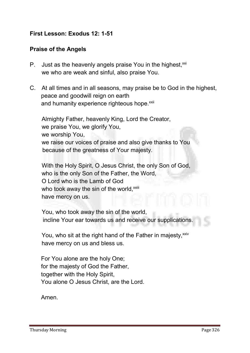#### First Lesson: Exodus 12: 1-51

#### Praise of the Angels

- **P. Just as the heavenly angels praise You in the highest, xxi we who are weak and sinful, also praise You.**
- **C. At all times and in all seasons, may praise be to God in the highest, peace and goodwill reign on earth** and humanity experience righteous hope.<sup>xxii</sup>

**Almighty Father, heavenly King, Lord the Creator, we praise You, we glorify You, we worship You, we raise our voices of praise and also give thanks to You because of the greatness of Your majesty.**

 **With the Holy Spirit, O Jesus Christ, the only Son of God, who is the only Son of the Father, the Word, O Lord who is the Lamb of God**  who took away the sin of the world,<sup>xxiii</sup> **have mercy on us.**

 **You, who took away the sin of the world, incline Your ear towards us and receive our supplications.**

You, who sit at the right hand of the Father in majesty.<sup>xxiv</sup> **have mercy on us and bless us.**

**For You alone are the holy One; for the majesty of God the Father, together with the Holy Spirit, You alone O Jesus Christ, are the Lord.**

**Amen.**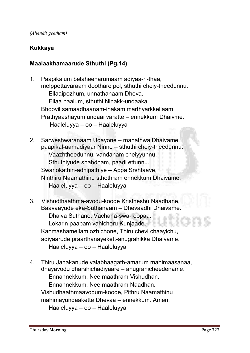#### Kukkaya

#### Maalaakhamaarude Sthuthi (Pg.14)

- **1. Paapikalum belaheenarumaam adiyaa-ri-thaa, melppettavaraam doothare pol, sthuthi cheiy-theedunnu. Ellaaipozhum, unnathanaam Dheva. Ellaa naalum, sthuthi Ninakk-undaaka. Bhoovil samaadhaanam-inakam marthyarkkellaam. Prathyaashayum undaai varatte – ennekkum Dhaivme. Haaleluyya – oo – Haaleluyya**
- **2. Sarweshwaranaam Udayone – mahathwa Dhaivame, paapikal-aamadiyaar Ninne – sthuthi cheiy-theedunnu. Vaazhtheedunnu, vandanam cheiyyunnu. Sthuthiyude shabdham, paadi ettunnu. Swarlokathin-adhipathiye – Appa Srshtaave, Ninthiru Naamathinu sthothram ennekkum Dhaivame. Haaleluyya – oo – Haaleluyya**
- **3. Vishudthaathma-avodu-koode Kristheshu Naadhane, Baavaayude eka-Suthanaam – Dhevaadhi Dhaivame. Dhaiva Suthane, Vachana-swa-roopaa. Lokarin paapam vahichoru Kunjaade. Kanmashamellam ozhichone, Thiru chevi chaayichu, adiyaarude praarthanayekett-anugrahikka Dhaivame. Haaleluyya – oo – Haaleluyya**
- **4. Thiru Janakanude valabhaagath-amarum mahimaasanaa, dhayavodu dharshichadiyaare – anugrahicheedename. Ennannekkum, Nee maathram Vishudhan. Ennannekkum, Nee maathram Naadhan. Vishudhaathmaavodum-koode, Pithru Naamathinu**

**mahimayundaakette Dhevaa – ennekkum. Amen.**

**Haaleluyya – oo – Haaleluyya**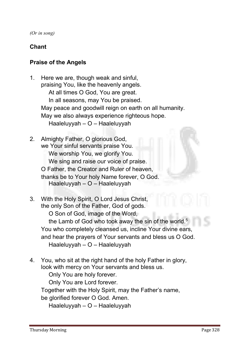*(Or in song)*

#### Chant

#### Praise of the Angels

- **1. Here we are, though weak and sinful, praising You, like the heavenly angels. At all times O God, You are great. In all seasons, may You be praised. May peace and goodwill reign on earth on all humanity. May we also always experience righteous hope. Haaleluyyah – O – Haaleluyyah**
- **2. Almighty Father, O glorious God, we Your sinful servants praise You. We worship You, we glorify You. We sing and raise our voice of praise. O Father, the Creator and Ruler of heaven, thanks be to Your holy Name forever, O God. Haaleluyyah – O – Haaleluyyah**
- **3. With the Holy Spirit, O Lord Jesus Christ, the only Son of the Father, God of gods. O Son of God, image of the Word, the Lamb of God who took away the sin of the world.5 You who completely cleansed us, incline Your divine ears, and hear the prayers of Your servants and bless us O God. Haaleluyyah – O – Haaleluyyah**
- **4. You, who sit at the right hand of the holy Father in glory, look with mercy on Your servants and bless us.**

**Only You are holy forever.**

**Only You are Lord forever.**

**Together with the Holy Spirit, may the Father's name,** 

**be glorified forever O God. Amen.**

**Haaleluyyah – O – Haaleluyyah**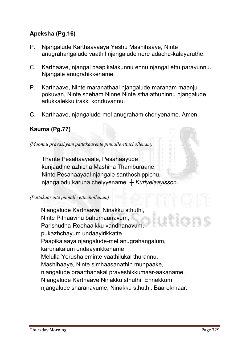#### Apeksha (Pg.16)

- **P. Njangalude Karthaavaaya Yeshu Mashihaaye, Ninte anugrahangalude vaathil njangalude nere adachu-kalayaruthe.**
- **C. Karthaave, njangal paapikalakunnu ennu njangal ettu parayunnu. Njangale anugrahikkename.**
- **P. Karthaave, Ninte maranathaal njangalude maranam maanju pokuvan, Ninte sneham Ninne Ninte sthalathuninnu njangalude adukkalekku irakki konduvannu.**
- **C. Karthaave, njangalude-mel anugraham choriyename. Amen.**

#### Kauma (Pg.77)

*(Moonnu pravashyam pattakaarente pinnalle ettuchollenam)*

**Thante Pesahaayaale, Pesahaayude kunjaadine azhicha Mashiha Thamburaane, Ninte Pesahaayaal njangale santhoshippichu, njangalodu karuna cheiyyename.** *┼ Kuriyelaayisson.*

#### *(Pattakaarente pinnalle ettuchollenam)*

**Njangalude Karthaave, Ninakku sthuthi, Ninte Pithaavinu bahumaanavum, Parishudha-Roohaaikku vandhanavum, pukazhchayum undaayirikkatte. Paapikalaaya njangalude-mel anugrahangalum, karunakalum undaayirikkename. Melulla Yerushaleminte vaathilukal thurannu, Mashihaaye, Ninte simhaasanathin munpaake, njangalude praarthanakal praveshikkumaar-aakaname. Njangalude Karthaave Ninakku sthuthi. Ennekkum njangalude sharanavume, Ninakku sthuthi. Baarekmaar.**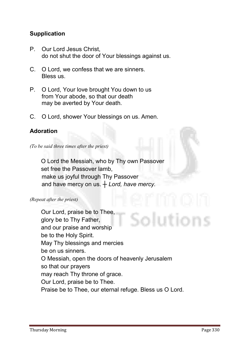#### **Supplication**

- **P. Our Lord Jesus Christ, do not shut the door of Your blessings against us.**
- **C. O Lord, we confess that we are sinners. Bless us.**
- **P. O Lord, Your love brought You down to us from Your abode, so that our death may be averted by Your death.**
- **C. O Lord, shower Your blessings on us. Amen.**

#### Adoration

*(To be said three times after the priest)*

 **O Lord the Messiah, who by Thy own Passover set free the Passover lamb, make us joyful through Thy Passover and have mercy on us.** *┼ Lord, have mercy.*

#### *(Repeat after the priest)*

**Our Lord, praise be to Thee,**  itions **glory be to Thy Father, and our praise and worship be to the Holy Spirit. May Thy blessings and mercies be on us sinners. O Messiah, open the doors of heavenly Jerusalem so that our prayers may reach Thy throne of grace. Our Lord, praise be to Thee. Praise be to Thee, our eternal refuge. Bless us O Lord.**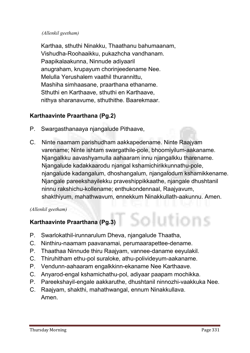#### *(Allenkil geetham)*

**Karthaa, sthuthi Ninakku, Thaathanu bahumaanam, Vishudha-Roohaaikku, pukazhcha vandhanam. Paapikalaakunna, Ninnude adiyaaril anugraham, krupayum chorinjeedename Nee. Melulla Yerushalem vaathil thurannittu, Mashiha simhaasane, praarthana ethaname. Sthuthi en Karthaave, sthuthi en Karthaave, nithya sharanavume, sthuthithe. Baarekmaar.**

#### Karthaavinte Praarthana (Pg.2)

- **P. Swargasthanaaya njangalude Pithaave,**
- **C. Ninte naamam parishudham aakkapedename. Ninte Raajyam varename; Ninte ishtam swargathile-pole, bhoomiyilum-aakaname. Njangalkku aavashyamulla aahaaram innu njangalkku tharename. Njangalude kadakkaarodu njangal kshamichirikkunnathu-pole, njangalude kadangalum, dhoshangalum, njangalodum kshamikkename. Njangale pareekshayilekku praveshippikkaathe, njangale dhushtanil ninnu rakshichu-kollename; enthukondennaal, Raajyavum, shakthiyum, mahathwavum, ennekkum Ninakkullath-aakunnu. Amen.**

#### *(Allenkil geetham)*

#### Karthaavinte Praarthana (Pg.3)

- **P. Swarlokathil-irunnarulum Dheva, njangalude Thaatha,**
- **C. Ninthiru-naamam paavanamai, perumaarapettee-dename.**
- **P. Thaathaa Ninnude thiru Raajyam, vannee-daname eeyulakil.**
- **C. Thiruhitham ethu-pol suraloke, athu-polivideyum-aakaname.**
- **P. Vendunn-aahaaram engalkkinn-ekaname Nee Karthaave.**
- **C. Anyarod-engal kshamichathu-pol, adiyaar paapam mochikka.**
- **P. Pareekshayil-engale aakkaruthe, dhushtanil ninnozhi-vaakkuka Nee.**
- **C. Raajyam, shakthi, mahathwangal, ennum Ninakkullava. Amen.**

**Mions**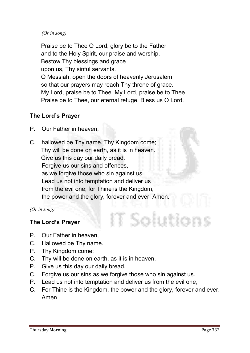#### *(Or in song)*

**Praise be to Thee O Lord, glory be to the Father and to the Holy Spirit, our praise and worship. Bestow Thy blessings and grace upon us, Thy sinful servants. O Messiah, open the doors of heavenly Jerusalem so that our prayers may reach Thy throne of grace. My Lord, praise be to Thee. My Lord, praise be to Thee. Praise be to Thee, our eternal refuge. Bless us O Lord.**

#### The Lord's Prayer

- **P. Our Father in heaven,**
- **C. hallowed be Thy name. Thy Kingdom come; Thy will be done on earth, as it is in heaven. Give us this day our daily bread. Forgive us our sins and offences, as we forgive those who sin against us. Lead us not into temptation and deliver us from the evil one; for Thine is the Kingdom, the power and the glory, forever and ever. Amen.**

*(Or in song)*

#### The Lord's Prayer

- **P. Our Father in heaven,**
- **C. Hallowed be Thy name.**
- **P. Thy Kingdom come;**
- **C. Thy will be done on earth, as it is in heaven.**
- **P. Give us this day our daily bread.**
- **C. Forgive us our sins as we forgive those who sin against us.**
- **P. Lead us not into temptation and deliver us from the evil one,**
- **C. For Thine is the Kingdom, the power and the glory, forever and ever. Amen.**

ī Solutions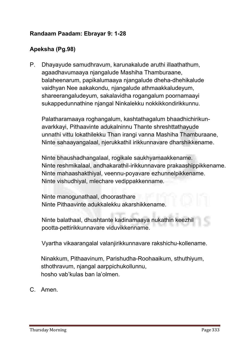#### Randaam Paadam: Ebrayar 9: 1-28

#### Apeksha (Pg.98)

**P. Dhayayude samudhravum, karunakalude aruthi illaathathum, agaadhavumaaya njangalude Mashiha Thamburaane, balaheenarum, papikalumaaya njangalude dheha-dhehikalude vaidhyan Nee aakakondu, njangalude athmaakkaludeyum, shareerangaludeyum, sakalavidha rogangalum poornamaayi sukappedunnathine njangal Ninkalekku nokkikkondirikkunnu.**

**Palatharamaaya roghangalum, kashtathagalum bhaadhichirikunavarkkayi, Pithaavinte adukalninnu Thante shreshttathayude unnathi vittu lokathilekku Than irangi vanna Mashiha Thamburaane, Ninte sahaayangalaal, njerukkathil irikkunnavare dharshikkename.** 

**Ninte bhaushadhangalaal, rogikale saukhyamaakkename. Ninte reshmikalaal, andhakarathil-irikkunnavare prakaashippikkename. Ninte mahaashakthiyal, veennu-poyavare ezhunnelpikkename. Ninte vishudhiyal, mlechare vedippakkenname.**

**Ninte manogunathaal, dhoorasthare Ninte Pithaavinte adukkalekku akarshikkename.**

**Ninte balathaal, dhushtante kadinamaaya nukathin keezhil pootta-pettirikkunnavare viduvikkenname.**

**Vyartha vikaarangalal valanjirikkunnavare rakshichu-kollename.** 

**Ninakkum, Pithaavinum, Parishudha-Roohaaikum, sthuthiyum, sthothravum, njangal aarppichukollunnu, hosho vab'kulas ban la'olmen.**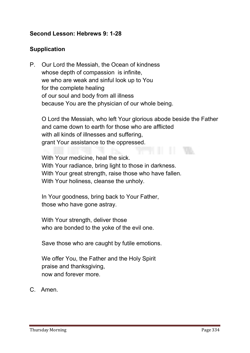#### Second Lesson: Hebrews 9: 1-28

#### Supplication

**P. Our Lord the Messiah, the Ocean of kindness whose depth of compassion is infinite, we who are weak and sinful look up to You for the complete healing of our soul and body from all illness because You are the physician of our whole being.**

**O Lord the Messiah, who left Your glorious abode beside the Father and came down to earth for those who are afflicted with all kinds of illnesses and suffering, grant Your assistance to the oppressed.**

**With Your medicine, heal the sick. With Your radiance, bring light to those in darkness. With Your great strength, raise those who have fallen. With Your holiness, cleanse the unholy.**

**In Your goodness, bring back to Your Father, those who have gone astray.** 

**With Your strength, deliver those who are bonded to the yoke of the evil one.**

**Save those who are caught by futile emotions.**

**We offer You, the Father and the Holy Spirit praise and thanksgiving, now and forever more.**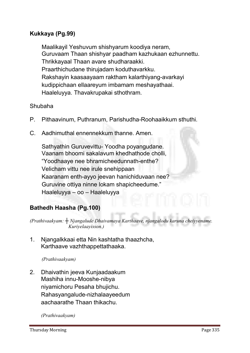#### Kukkaya (Pg.99)

**Maalikayil Yeshuvum shishyarum koodiya neram, Guruvaam Thaan shishyar paadham kazhukaan ezhunnettu. Thrikkayaal Thaan avare shudharaakki. Praarthichudane thirujadam koduthavarkku. Rakshayin kaasaayaam raktham kalarthiyang-avarkayi kudippichaan ellaareyum imbamam meshayathaai. Haaleluyya. Thavakrupakai sthothram.** 

#### **Shubaha**

- **P. Pithaavinum, Puthranum, Parishudha-Roohaaikkum sthuthi.**
- **C. Aadhimuthal ennennekkum thanne. Amen.**

**Sathyathin Guruvevittu- Yoodha poyangudane. Vaanam bhoomi sakalavum khedhathode cholli, "Yoodhaaye nee bhramicheedunnath-enthe? Velicham vittu nee irule snehippaan Kaaranam enth-ayyo jeevan hanichiduvaan nee? Guruvine ottiya ninne lokam shapicheedume." Haaleluyya – oo – Haaleluyya**

#### Bathedh Haasha (Pg.100)

*(Prathivaakyam: ┼ Njangalude Dhaivamaya Karthaave, njangalodu karuna cheiyyename. Kuriyelaayisson.)*

**1. Njangalkkaai etta Nin kashtatha thaazhcha, Karthaave vazhthappettathaaka.**

*(Prathivaakyam)* 

**2. Dhaivathin jeeva Kunjaadaakum Mashiha innu-Mooshe-nibya niyamichoru Pesaha bhujichu. Rahasyangalude-nizhalaayeedum aachaarathe Thaan thikachu.**

*(Prathivaakyam)*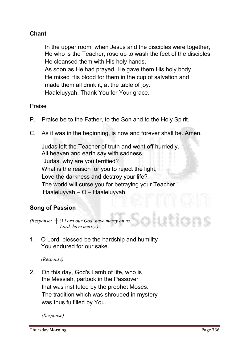#### Chant

**In the upper room, when Jesus and the disciples were together, He who is the Teacher, rose up to wash the feet of the disciples. He cleansed them with His holy hands. As soon as He had prayed, He gave them His holy body. He mixed His blood for them in the cup of salvation and made them all drink it, at the table of joy. Haaleluyyah. Thank You for Your grace.**

**Praise**

- **P. Praise be to the Father, to the Son and to the Holy Spirit.**
- **C. As it was in the beginning, is now and forever shall be. Amen.**

**Judas left the Teacher of truth and went off hurriedly. All heaven and earth say with sadness, "Judas, why are you terrified? What is the reason for you to reject the light, Love the darkness and destroy your life? The world will curse you for betraying your Teacher." Haaleluyyah – O – Haaleluyyah**

#### Song of Passion

*(Response: ┼ O Lord our God, have mercy on us. Lord, have mercy.)*

**1. O Lord, blessed be the hardship and humility You endured for our sake.** 

*(Response)*

**2. On this day, God's Lamb of life, who is the Messiah, partook in the Passover that was instituted by the prophet Moses. The tradition which was shrouded in mystery was thus fulfilled by You.**

*(Response)*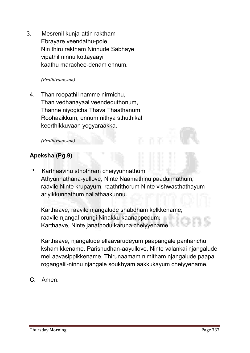**3. Mesrenil kunja-attin raktham Ebrayare veendathu-pole, Nin thiru raktham Ninnude Sabhaye vipathil ninnu kottayaayi kaathu marachee-denam ennum.**

#### *(Prathivaakyam)*

**4. Than roopathil namme nirmichu, Than vedhanayaal veendeduthonum, Thanne niyogicha Thava Thaathanum, Roohaaikkum, ennum nithya sthuthikal keerthikkuvaan yogyaraakka.**

#### *(Prathivaakyam)*

#### Apeksha (Pg.9)

**P. Karthaavinu sthothram cheiyyunnathum, Athyunnathana-yullove, Ninte Naamathinu paadunnathum, raavile Ninte krupayum, raathrithorum Ninte vishwasthathayum ariyikkunnathum nallathaakunnu.** 

**Karthaave, raavile njangalude shabdham kelkkename; raavile njangal orungi Ninakku kaanappedum. Karthaave, Ninte janathodu karuna cheiyyename.** 

**Karthaave, njangalude ellaavarudeyum paapangale pariharichu, kshamikkename. Parishudhan-aayullove, Ninte valankai njangalude mel aavasippikkename. Thirunaamam nimitham njangalude paapa rogangalil-ninnu njangale soukhyam aakkukayum cheiyyename.**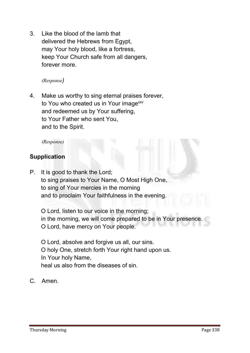**3. Like the blood of the lamb that delivered the Hebrews from Egypt, may Your holy blood, like a fortress, keep Your Church safe from all dangers, forever more.**

*(Response)*

**4. Make us worthy to sing eternal praises forever, to You who created us in Your imagexxv and redeemed us by Your suffering, to Your Father who sent You, and to the Spirit.** 

*(Response)*

#### **Supplication**

**P. It is good to thank the Lord; to sing praises to Your Name, O Most High One, to sing of Your mercies in the morning and to proclaim Your faithfulness in the evening.**

**O Lord, listen to our voice in the morning; in the morning, we will come prepared to be in Your presence. O Lord, have mercy on Your people.** 

**O Lord, absolve and forgive us all, our sins. O holy One, stretch forth Your right hand upon us. In Your holy Name, heal us also from the diseases of sin.**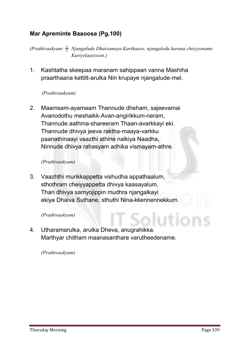#### Mar Apreminte Baaoosa (Pg.100)

*(Prathivaakyam: ┼ Njangalude Dhaivamaya Karthaave, njangalodu karuna cheiyyename. Kuriyelaayisson.)*

**1. Kashtatha skeepaa maranam sahippaan vanna Mashiha praarthaana kettitt-arulka Nin krupaye njangalude-mel.**

#### *(Prathivaakyam)*

**2. Maamsam-ayamaam Thannude dheham, sajeevamai Avanodothu meshaikk-Avan-angirikkum-neram, Thannude aathma-shareeram Thaan-avarkkayi eki. Thannude dhivya jeeva raktha-maaya-varkku paanathinaayi vaazthi athine nalkiya Naadha, Ninnude dhivya rahasyam adhika vismayam-athre.**

#### *(Prathivaakyam)*

**3. Vaazhthi murikkappetta vishudha appathaalum, sthothram cheiyyappetta dhivya kaasayalum, Than dhivya samyojippin mudhra njangalkayi ekiya Dhaiva Suthane, sthuthi Nina-kkennennekkum.**

#### *(Prathivaakyam)*

**4. Utharamarulka, arulka Dheva, anugrahikka. Marthyar chitham maanasanthare varutheedename.**

*(Prathivaakyam)*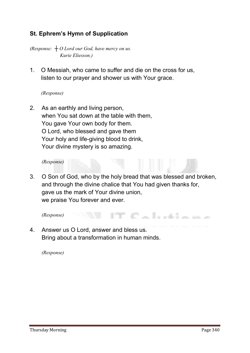#### St. Ephrem's Hymn of Supplication

*(Response: ┼ O Lord our God, have mercy on us. Kurie Eliesson.)*

**1. O Messiah, who came to suffer and die on the cross for us, listen to our prayer and shower us with Your grace.**

#### *(Response)*

**2. As an earthly and living person, when You sat down at the table with them, You gave Your own body for them. O Lord, who blessed and gave them Your holy and life-giving blood to drink, Your divine mystery is so amazing.**

*(Response)* 

**3. O Son of God, who by the holy bread that was blessed and broken, and through the divine chalice that You had given thanks for, gave us the mark of Your divine union, we praise You forever and ever.**

<u>Calistana</u> *(Response)*

**4. Answer us O Lord, answer and bless us. Bring about a transformation in human minds.** 

*(Response)*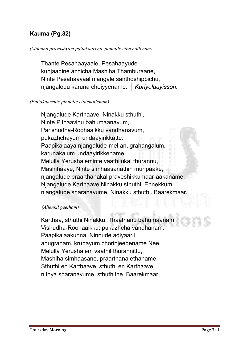#### Kauma (Pg.32)

#### *(Moonnu pravashyam pattakaarente pinnalle ettuchollenam)*

**Thante Pesahaayaale, Pesahaayude kunjaadine azhicha Mashiha Thamburaane, Ninte Pesahaayaal njangale santhoshippichu, njangalodu karuna cheiyyename.** *┼ Kuriyelaayisson.*

#### *(Pattakaarente pinnalle ettuchollenam)*

**Njangalude Karthaave, Ninakku sthuthi, Ninte Pithaavinu bahumaanavum, Parishudha-Roohaaikku vandhanavum, pukazhchayum undaayirikkatte. Paapikalaaya njangalude-mel anugrahangalum, karunakalum undaayirikkename. Melulla Yerushaleminte vaathilukal thurannu, Mashihaaye, Ninte simhaasanathin munpaake, njangalude praarthanakal praveshikkumaar-aakaname. Njangalude Karthaave Ninakku sthuthi. Ennekkum njangalude sharanavume, Ninakku sthuthi. Baarekmaar.** 

#### *(Allenkil geetham)*

**Karthaa, sthuthi Ninakku, Thaathanu bahumaanam, Vishudha-Roohaaikku, pukazhcha vandhanam. Paapikalaakunna, Ninnude adiyaaril anugraham, krupayum chorinjeedename Nee. Melulla Yerushalem vaathil thurannittu, Mashiha simhaasane, praarthana ethaname. Sthuthi en Karthaave, sthuthi en Karthaave, nithya sharanavume, sthuthithe. Baarekmaar.**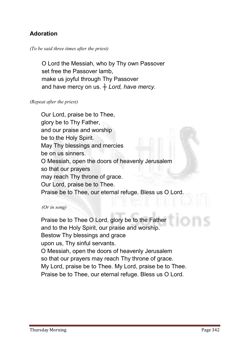#### Adoration

#### *(To be said three times after the priest)*

 **O Lord the Messiah, who by Thy own Passover set free the Passover lamb, make us joyful through Thy Passover and have mercy on us.** *┼ Lord, have mercy.*

#### *(Repeat after the priest)*

**Our Lord, praise be to Thee, glory be to Thy Father, and our praise and worship be to the Holy Spirit. May Thy blessings and mercies be on us sinners. O Messiah, open the doors of heavenly Jerusalem so that our prayers may reach Thy throne of grace. Our Lord, praise be to Thee. Praise be to Thee, our eternal refuge. Bless us O Lord.**

#### *(Or in song)*

**Praise be to Thee O Lord, glory be to the Father and to the Holy Spirit, our praise and worship. Bestow Thy blessings and grace upon us, Thy sinful servants. O Messiah, open the doors of heavenly Jerusalem so that our prayers may reach Thy throne of grace. My Lord, praise be to Thee. My Lord, praise be to Thee. Praise be to Thee, our eternal refuge. Bless us O Lord.**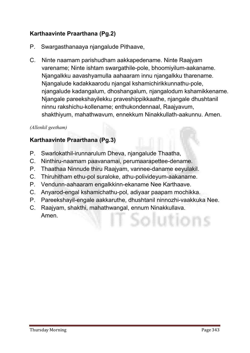#### Karthaavinte Praarthana (Pg.2)

- **P. Swargasthanaaya njangalude Pithaave,**
- **C. Ninte naamam parishudham aakkapedename. Ninte Raajyam varename; Ninte ishtam swargathile-pole, bhoomiyilum-aakaname. Njangalkku aavashyamulla aahaaram innu njangalkku tharename. Njangalude kadakkaarodu njangal kshamichirikkunnathu-pole, njangalude kadangalum, dhoshangalum, njangalodum kshamikkename. Njangale pareekshayilekku praveshippikkaathe, njangale dhushtanil ninnu rakshichu-kollename; enthukondennaal, Raajyavum, shakthiyum, mahathwavum, ennekkum Ninakkullath-aakunnu. Amen.**

#### *(Allenkil geetham)*

#### Karthaavinte Praarthana (Pg.3)

- **P. Swarlokathil-irunnarulum Dheva, njangalude Thaatha,**
- **C. Ninthiru-naamam paavanamai, perumaarapettee-dename.**
- **P. Thaathaa Ninnude thiru Raajyam, vannee-daname eeyulakil.**
- **C. Thiruhitham ethu-pol suraloke, athu-polivideyum-aakaname.**
- **P. Vendunn-aahaaram engalkkinn-ekaname Nee Karthaave.**
- **C. Anyarod-engal kshamichathu-pol, adiyaar paapam mochikka.**
- **P. Pareekshayil-engale aakkaruthe, dhushtanil ninnozhi-vaakkuka Nee.**
- **C. Raajyam, shakthi, mahathwangal, ennum Ninakkullava. Amen.**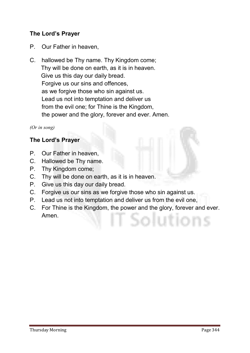#### The Lord's Prayer

- **P. Our Father in heaven,**
- **C. hallowed be Thy name. Thy Kingdom come; Thy will be done on earth, as it is in heaven. Give us this day our daily bread. Forgive us our sins and offences, as we forgive those who sin against us. Lead us not into temptation and deliver us from the evil one; for Thine is the Kingdom, the power and the glory, forever and ever. Amen.**

*(Or in song)*

#### The Lord's Prayer

- **P. Our Father in heaven,**
- **C. Hallowed be Thy name.**
- **P. Thy Kingdom come;**
- **C. Thy will be done on earth, as it is in heaven.**
- **P. Give us this day our daily bread.**
- **C. Forgive us our sins as we forgive those who sin against us.**
- **P. Lead us not into temptation and deliver us from the evil one,**
- **C. For Thine is the Kingdom, the power and the glory, forever and ever. Amen.**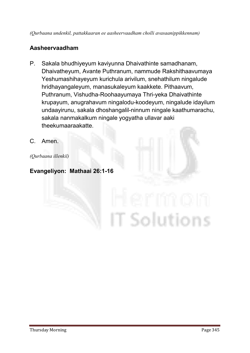#### Aasheervaadham

**P. Sakala bhudhiyeyum kaviyunna Dhaivathinte samadhanam, Dhaivatheyum, Avante Puthranum, nammude Rakshithaavumaya Yeshumashihayeyum kurichula arivilum, snehathilum ningalude hridhayangaleyum, manasukaleyum kaakkete. Pithaavum, Puthranum, Vishudha-Roohaayumaya Thri-yeka Dhaivathinte krupayum, anugrahavum ningalodu-koodeyum, ningalude idayilum undaayirunu, sakala dhoshangalil-ninnum ningale kaathumarachu, sakala nanmakalkum ningale yogyatha ullavar aaki theekumaaraakatte.**

T Solutions

**C. Amen.**

*(Qurbaana illenkil)*

Evangeliyon: Mathaai 26:1-16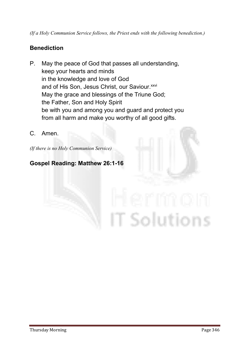#### **Benediction**

- **P. May the peace of God that passes all understanding, keep your hearts and minds in the knowledge and love of God and of His Son, Jesus Christ, our Saviour. xxvi May the grace and blessings of the Triune God; the Father, Son and Holy Spirit be with you and among you and guard and protect you from all harm and make you worthy of all good gifts.**
- **C. Amen.**

*(If there is no Holy Communion Service)*

#### Gospel Reading: Matthew 26:1-16

# **T** Solutions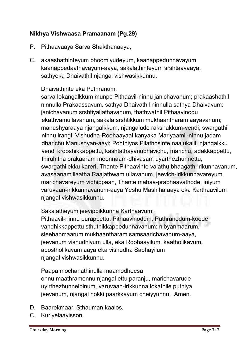#### Nikhya Vishwaasa Pramaanam (Pg.29)

- **P. Pithaavaaya Sarva Shakthanaaya,**
- **C. akaashathinteyum bhoomiyudeyum, kaanappedunnavayum kaanappedaathavayum-aaya, sakalathinteyum srshtaavaaya, sathyeka Dhaivathil njangal vishwasikkunnu.**

#### **Dhaivathinte eka Puthranum,**

**sarva lokangalkkum munpe Pithaavil-ninnu janichavanum; prakaashathil ninnulla Prakaassavum, sathya Dhaivathil ninnulla sathya Dhaivavum; janichavanum srshtiyallathavanum, thathwathil Pithaavinodu ekathvamullavanum, sakala srshtikkum mukhaantharam aayavanum; manushyaraaya njangalkkum, njangalude rakshakkum-vendi, swargathil ninnu irangi, Vishudha-Roohaayaal kanyaka Mariyaamil-ninnu jadam dharichu Manushyan-aayi; Ponthiyos Pilathosinte naalukalil, njangalkku vendi krooshikkappettu, kashtathayanubhavichu, marichu, adakkappettu, thiruhitha prakaaram moonnaam-dhivasam uyarthezhunnettu, swargathilekku kareri, Thante Pithaavinte valathu bhaagath-irikunnavanum, avasaanamillaatha Raajathwam ullavanum, jeevich-irikkunnavareyum, marichavareyum vidhippaan, Thante mahaa-prabhaavathode, iniyum varuvaan-irikkunnavanum-aaya Yeshu Mashiha aaya eka Karthaavilum njangal vishwasikkunnu.**

**Sakalatheyum jeevippikkunna Karthaavum;**

**Pithaavil-ninnu purappettu, Pithaavinodum, Puthranodum-koode vandhikkappettu sthuthikkappedunnavanum; nibyanmaarum, sleehanmaarum mukhaantharam samsaarichavanum-aaya, jeevanum vishudhiyum ulla, eka Roohaayilum, kaatholikavum, apostholikavum aaya eka vishudha Sabhayilum njangal vishwasikkunnu.**

**Paapa mochanathinulla maamodheesa onnu maathramennu njangal ettu paranju, marichavarude uyirthezhunnelpinum, varuvaan-irikkunna lokathile puthiya jeevanum, njangal nokki paarkkayum cheiyyunnu. Amen.**

- **D. Baarekmaar. Sthauman kaalos.**
- **C. Kuriyelaayisson.**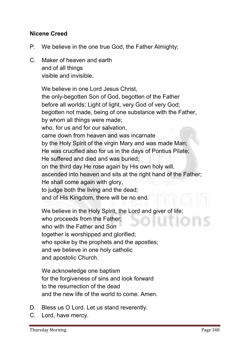#### Nicene Creed

- **P. We believe in the one true God, the Father Almighty;**
- **C. Maker of heaven and earth and of all things visible and invisible.**

**We believe in one Lord Jesus Christ, the only-begotten Son of God, begotten of the Father before all worlds; Light of light, very God of very God; begotten not made, being of one substance with the Father, by whom all things were made; who, for us and for our salvation, came down from heaven and was incarnate by the Holy Spirit of the virgin Mary and was made Man; He was crucified also for us in the days of Pontius Pilate; He suffered and died and was buried; on the third day He rose again by His own holy will, ascended into heaven and sits at the right hand of the Father; He shall come again with glory, to judge both the living and the dead; and of His Kingdom, there will be no end.** 

**We believe in the Holy Spirit, the Lord and giver of life; who proceeds from the Father; who with the Father and Son together is worshipped and glorified; who spoke by the prophets and the apostles; and we believe in one holy catholic and apostolic Church.**

**We acknowledge one baptism for the forgiveness of sins and look forward to the resurrection of the dead and the new life of the world to come. Amen.** 

- **D. Bless us O Lord. Let us stand reverently.**
- **C. Lord, have mercy.**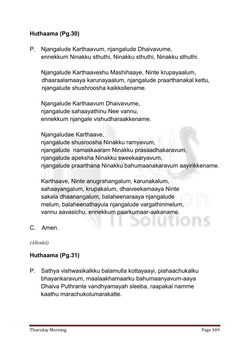#### Huthaama (Pg.30)

**P. Njangalude Karthaavum, njangalude Dhaivavume, ennekkum Ninakku sthuthi, Ninakku sthuthi, Ninakku sthuthi.**

**Njangalude Karthaaveshu Mashihaaye, Ninte krupayaalum, dhaaraalamaaya karunayaalum, njangalude praarthanakal kettu, njangalude shushroosha kaikkollename.**

**Njangalude Karthaavum Dhaivavume, njangalude sahaayathinu Nee vannu, ennekkum njangale vishudharaakkename.** 

**Njangaludae Karthaave,** 

**njangalude shusroosha Ninakku ramyavum, njangalude namaskaaram Ninakku prasaadhakaravum, njangalude apeksha Ninakku sweekaaryavum, njangalude praarthana Ninakku bahumaanakaravum aayirikkename.** 

**Karthaave, Ninte anugrahangalum, karunakalum, sahaayangalum, krupakalum, dhaiveekamaaya Ninte sakala dhaanangalum, balaheenaraaya njangalude melum, balaheenathayula njangalude vargathinmelum, vannu aavasichu, ennekkum paarkumaar-aakaname.**

**C. Amen.**

*(Allenkil)*

#### Huthaama (Pg.31)

**P. Sathya vishwasikalkku balamulla kottayaayi, pishaachukalku bhayankaravum, maalaakhamaarku bahumaanyavum-aaya Dhaiva Puthrante vandhyamayah sleeba, raapakal namme kaathu marachukolumarakatte.**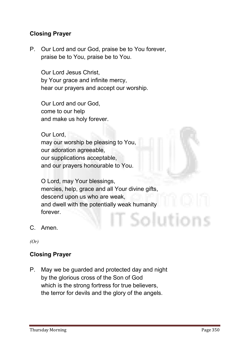#### Closing Prayer

**P. Our Lord and our God, praise be to You forever, praise be to You, praise be to You.**

**Our Lord Jesus Christ, by Your grace and infinite mercy, hear our prayers and accept our worship.** 

**Our Lord and our God, come to our help and make us holy forever.** 

**Our Lord, may our worship be pleasing to You, our adoration agreeable, our supplications acceptable, and our prayers honourable to You.** 

**O Lord, may Your blessings, mercies, help, grace and all Your divine gifts, descend upon us who are weak, and dwell with the potentially weak humanity forever.** Solutions

**C. Amen.**

*(Or)*

#### Closing Prayer

**P. May we be guarded and protected day and night by the glorious cross of the Son of God which is the strong fortress for true believers, the terror for devils and the glory of the angels.**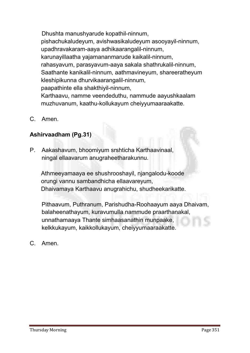**Dhushta manushyarude kopathil-ninnum, pishachukaludeyum, avishwasikaludeyum asooyayil-ninnum, upadhravakaram-aaya adhikaarangalil-ninnum, karunayillaatha yajamananmarude kaikalil-ninnum, rahasyavum, parasyavum-aaya sakala shathrukalil-ninnum, Saathante kanikalil-ninnum, aathmavineyum, shareeratheyum kleshipikunna dhurvikaarangalil-ninnum, paapathinte ella shakthiyil-ninnum, Karthaavu, namme veendeduthu, nammude aayushkaalam muzhuvanum, kaathu-kollukayum cheiyyumaaraakatte.**

**C. Amen.**

#### Ashirvaadham (Pg.31)

**P. Aakashavum, bhoomiyum srshticha Karthaavinaal, ningal ellaavarum anugraheetharakunnu.**

**Athmeeyamaaya ee shushrooshayil, njangalodu-koode orungi vannu sambandhicha ellaavareyum, Dhaivamaya Karthaavu anugrahichu, shudheekarikatte.**

**Pithaavum, Puthranum, Parishudha-Roohaayum aaya Dhaivam, balaheenathayum, kuravumulla nammude praarthanakal, unnathamaaya Thante simhaasanathin munpaake, kelkkukayum, kaikkollukayum, cheiyyumaaraakatte.**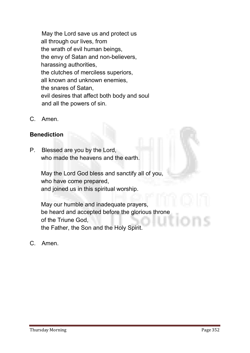**May the Lord save us and protect us all through our lives, from the wrath of evil human beings, the envy of Satan and non-believers, harassing authorities, the clutches of merciless superiors, all known and unknown enemies, the snares of Satan, evil desires that affect both body and soul and all the powers of sin.**

**C. Amen.**

#### Benediction

**P. Blessed are you by the Lord, who made the heavens and the earth.** 

> **May the Lord God bless and sanctify all of you, who have come prepared, and joined us in this spiritual worship.**

**May our humble and inadequate prayers, be heard and accepted before the glorious throne of the Triune God, the Father, the Son and the Holy Spirit.**